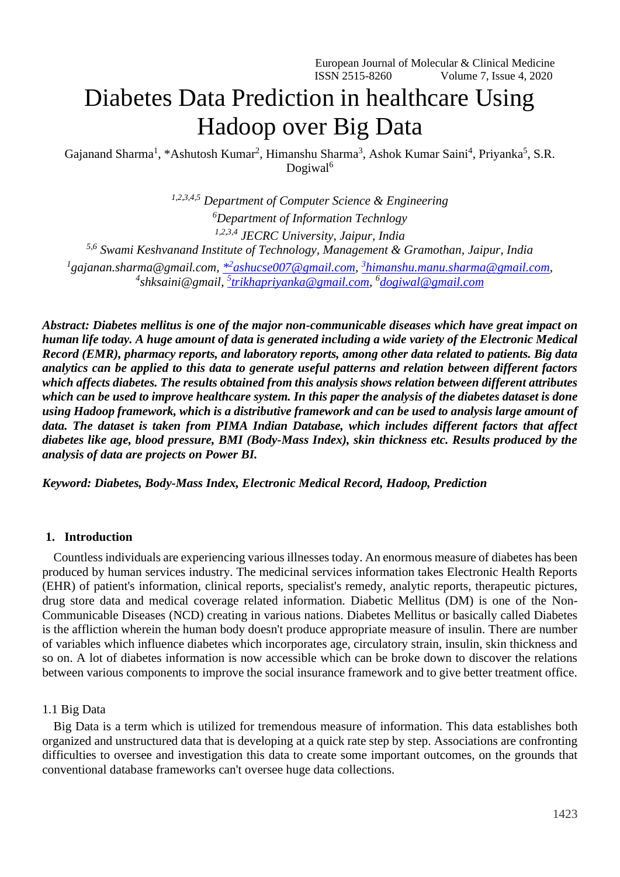# Diabetes Data Prediction in healthcare Using Hadoop over Big Data

Gajanand Sharma<sup>1</sup>, \*Ashutosh Kumar<sup>2</sup>, Himanshu Sharma<sup>3</sup>, Ashok Kumar Saini<sup>4</sup>, Priyanka<sup>5</sup>, S.R. Dogiwal<sup>6</sup>

*1,2,3,4,5 Department of Computer Science & Engineering <sup>6</sup>Department of Information Technlogy 1,2,3,4 JECRC University, Jaipur, India 5,6 Swami Keshvanand Institute of Technology, Management & Gramothan, Jaipur, India* <sup>1</sup> [gajanan.sharma@gmail.com,](mailto:1gajanan.sharma@gmail.com) <u>\*<sup>2</sup>[ashucse007@gmail.com,](mailto:*2ashucse007@gmail.com) <sup>3</sup>[himanshu.manu.sharma@gmail.com,](mailto:3himanshu.manu.sharma@gmail.com)</u> *4 shksaini@gmail, 5 [trikhapriyanka@gmail.com,](mailto:5trikhapriyanka@gmail.com) 6 [dogiwal@gmail.com](mailto:dogiwal@gmail.com)*

*Abstract: Diabetes mellitus is one of the major non-communicable diseases which have great impact on human life today. A huge amount of data is generated including a wide variety of the Electronic Medical Record (EMR), pharmacy reports, and laboratory reports, among other data related to patients. Big data analytics can be applied to this data to generate useful patterns and relation between different factors which affects diabetes. The results obtained from this analysis shows relation between different attributes which can be used to improve healthcare system. In this paper the analysis of the diabetes dataset is done using Hadoop framework, which is a distributive framework and can be used to analysis large amount of data. The dataset is taken from PIMA Indian Database, which includes different factors that affect diabetes like age, blood pressure, BMI (Body-Mass Index), skin thickness etc. Results produced by the analysis of data are projects on Power BI.* 

*Keyword: Diabetes, Body-Mass Index, Electronic Medical Record, Hadoop, Prediction*

#### **1. Introduction**

Countless individuals are experiencing various illnesses today. An enormous measure of diabetes has been produced by human services industry. The medicinal services information takes Electronic Health Reports (EHR) of patient's information, clinical reports, specialist's remedy, analytic reports, therapeutic pictures, drug store data and medical coverage related information. Diabetic Mellitus (DM) is one of the Non-Communicable Diseases (NCD) creating in various nations. Diabetes Mellitus or basically called Diabetes is the affliction wherein the human body doesn't produce appropriate measure of insulin. There are number of variables which influence diabetes which incorporates age, circulatory strain, insulin, skin thickness and so on. A lot of diabetes information is now accessible which can be broke down to discover the relations between various components to improve the social insurance framework and to give better treatment office.

#### 1.1 Big Data

Big Data is a term which is utilized for tremendous measure of information. This data establishes both organized and unstructured data that is developing at a quick rate step by step. Associations are confronting difficulties to oversee and investigation this data to create some important outcomes, on the grounds that conventional database frameworks can't oversee huge data collections.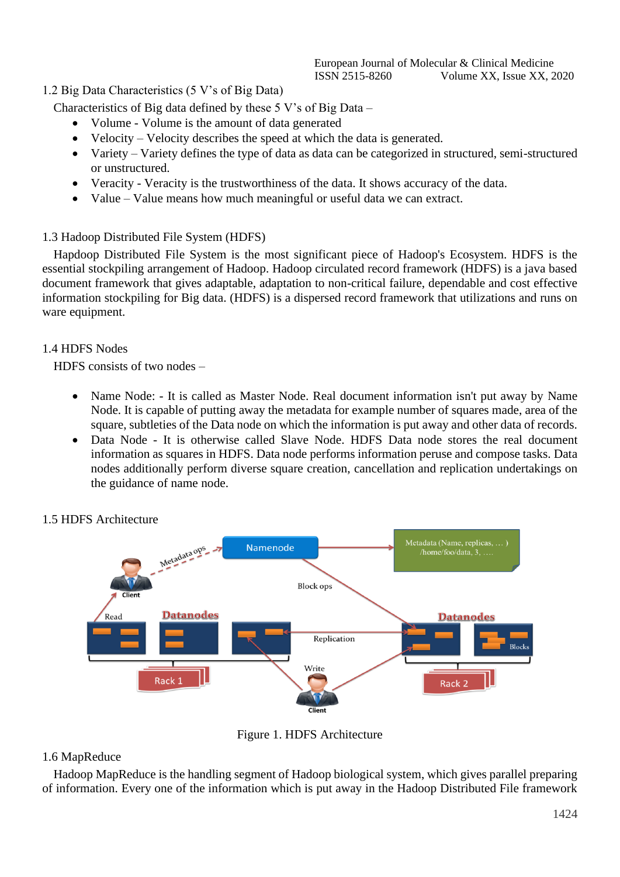# 1.2 Big Data Characteristics (5 V's of Big Data)

Characteristics of Big data defined by these  $5 V$ 's of Big Data –

- Volume Volume is the amount of data generated
- Velocity Velocity describes the speed at which the data is generated.
- Variety Variety defines the type of data as data can be categorized in structured, semi-structured or unstructured.
- Veracity Veracity is the trustworthiness of the data. It shows accuracy of the data.
- Value Value means how much meaningful or useful data we can extract.

# 1.3 Hadoop Distributed File System (HDFS)

Hapdoop Distributed File System is the most significant piece of Hadoop's Ecosystem. HDFS is the essential stockpiling arrangement of Hadoop. Hadoop circulated record framework (HDFS) is a java based document framework that gives adaptable, adaptation to non-critical failure, dependable and cost effective information stockpiling for Big data. (HDFS) is a dispersed record framework that utilizations and runs on ware equipment.

# 1.4 HDFS Nodes

HDFS consists of two nodes –

- Name Node: It is called as Master Node. Real document information isn't put away by Name Node. It is capable of putting away the metadata for example number of squares made, area of the square, subtleties of the Data node on which the information is put away and other data of records.
- Data Node It is otherwise called Slave Node. HDFS Data node stores the real document information as squares in HDFS. Data node performs information peruse and compose tasks. Data nodes additionally perform diverse square creation, cancellation and replication undertakings on the guidance of name node.



# 1.5 HDFS Architecture

Figure 1. HDFS Architecture

# 1.6 MapReduce

Hadoop MapReduce is the handling segment of Hadoop biological system, which gives parallel preparing of information. Every one of the information which is put away in the Hadoop Distributed File framework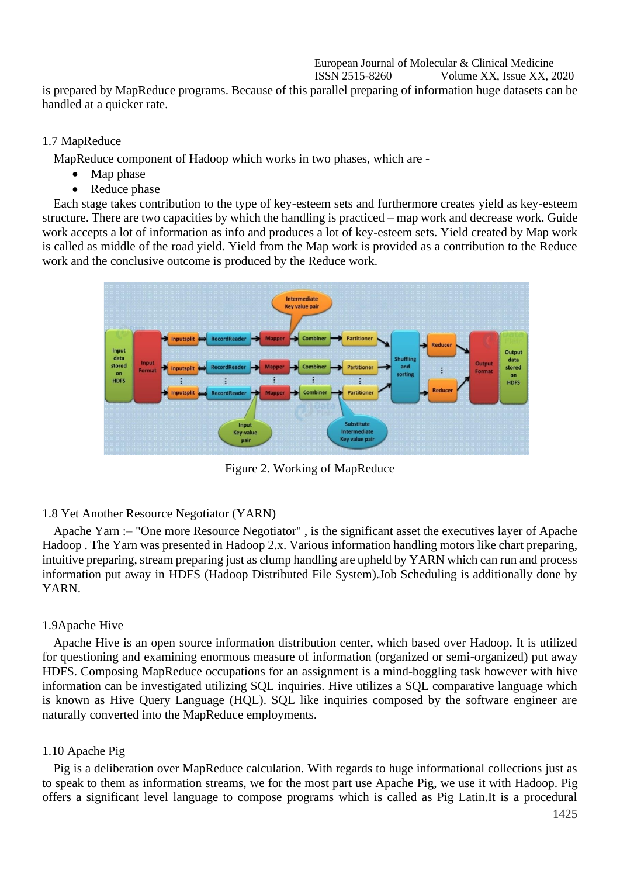#### European Journal of Molecular & Clinical Medicine ISSN 2515-8260 Volume XX, Issue XX, 2020

is prepared by MapReduce programs. Because of this parallel preparing of information huge datasets can be handled at a quicker rate.

### 1.7 MapReduce

MapReduce component of Hadoop which works in two phases, which are -

- Map phase
- Reduce phase

Each stage takes contribution to the type of key-esteem sets and furthermore creates yield as key-esteem structure. There are two capacities by which the handling is practiced – map work and decrease work. Guide work accepts a lot of information as info and produces a lot of key-esteem sets. Yield created by Map work is called as middle of the road yield. Yield from the Map work is provided as a contribution to the Reduce work and the conclusive outcome is produced by the Reduce work.



Figure 2. Working of MapReduce

## 1.8 Yet Another Resource Negotiator (YARN)

Apache Yarn :– "One more Resource Negotiator" , is the significant asset the executives layer of Apache Hadoop . The Yarn was presented in Hadoop 2.x. Various information handling motors like chart preparing, intuitive preparing, stream preparing just as clump handling are upheld by YARN which can run and process information put away in HDFS (Hadoop Distributed File System).Job Scheduling is additionally done by YARN.

#### 1.9Apache Hive

Apache Hive is an open source information distribution center, which based over Hadoop. It is utilized for questioning and examining enormous measure of information (organized or semi-organized) put away HDFS. Composing MapReduce occupations for an assignment is a mind-boggling task however with hive information can be investigated utilizing SQL inquiries. Hive utilizes a SQL comparative language which is known as Hive Query Language (HQL). SQL like inquiries composed by the software engineer are naturally converted into the MapReduce employments.

#### 1.10 Apache Pig

Pig is a deliberation over MapReduce calculation. With regards to huge informational collections just as to speak to them as information streams, we for the most part use Apache Pig, we use it with Hadoop. Pig offers a significant level language to compose programs which is called as Pig Latin.It is a procedural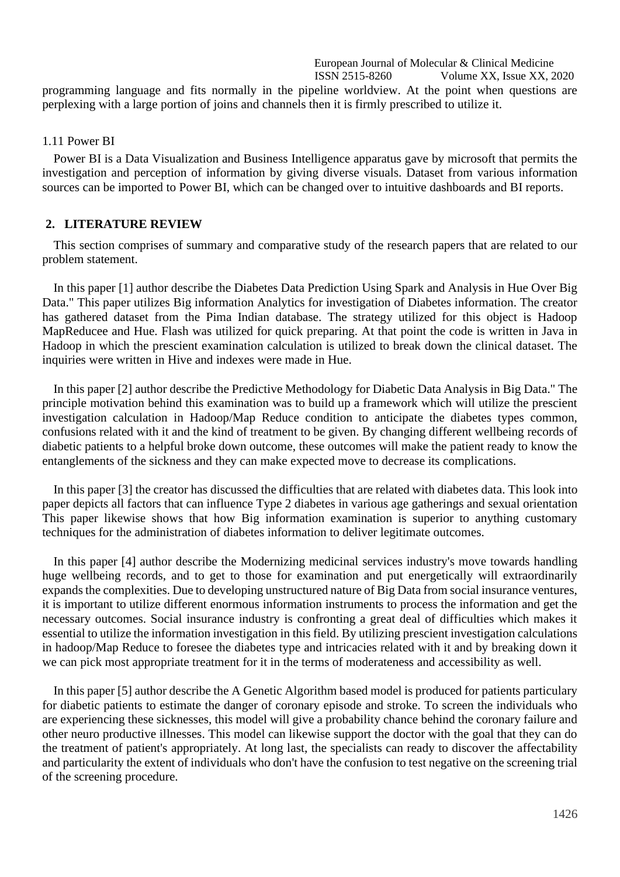European Journal of Molecular & Clinical Medicine ISSN 2515-8260 Volume XX, Issue XX, 2020

programming language and fits normally in the pipeline worldview. At the point when questions are perplexing with a large portion of joins and channels then it is firmly prescribed to utilize it.

1.11 Power BI

Power BI is a Data Visualization and Business Intelligence apparatus gave by microsoft that permits the investigation and perception of information by giving diverse visuals. Dataset from various information sources can be imported to Power BI, which can be changed over to intuitive dashboards and BI reports.

#### **2. LITERATURE REVIEW**

This section comprises of summary and comparative study of the research papers that are related to our problem statement.

In this paper [1] author describe the Diabetes Data Prediction Using Spark and Analysis in Hue Over Big Data." This paper utilizes Big information Analytics for investigation of Diabetes information. The creator has gathered dataset from the Pima Indian database. The strategy utilized for this object is Hadoop MapReducee and Hue. Flash was utilized for quick preparing. At that point the code is written in Java in Hadoop in which the prescient examination calculation is utilized to break down the clinical dataset. The inquiries were written in Hive and indexes were made in Hue.

In this paper [2] author describe the Predictive Methodology for Diabetic Data Analysis in Big Data." The principle motivation behind this examination was to build up a framework which will utilize the prescient investigation calculation in Hadoop/Map Reduce condition to anticipate the diabetes types common, confusions related with it and the kind of treatment to be given. By changing different wellbeing records of diabetic patients to a helpful broke down outcome, these outcomes will make the patient ready to know the entanglements of the sickness and they can make expected move to decrease its complications.

In this paper [3] the creator has discussed the difficulties that are related with diabetes data. This look into paper depicts all factors that can influence Type 2 diabetes in various age gatherings and sexual orientation This paper likewise shows that how Big information examination is superior to anything customary techniques for the administration of diabetes information to deliver legitimate outcomes.

In this paper [4] author describe the Modernizing medicinal services industry's move towards handling huge wellbeing records, and to get to those for examination and put energetically will extraordinarily expands the complexities. Due to developing unstructured nature of Big Data from social insurance ventures, it is important to utilize different enormous information instruments to process the information and get the necessary outcomes. Social insurance industry is confronting a great deal of difficulties which makes it essential to utilize the information investigation in this field. By utilizing prescient investigation calculations in hadoop/Map Reduce to foresee the diabetes type and intricacies related with it and by breaking down it we can pick most appropriate treatment for it in the terms of moderateness and accessibility as well.

In this paper [5] author describe the A Genetic Algorithm based model is produced for patients particulary for diabetic patients to estimate the danger of coronary episode and stroke. To screen the individuals who are experiencing these sicknesses, this model will give a probability chance behind the coronary failure and other neuro productive illnesses. This model can likewise support the doctor with the goal that they can do the treatment of patient's appropriately. At long last, the specialists can ready to discover the affectability and particularity the extent of individuals who don't have the confusion to test negative on the screening trial of the screening procedure.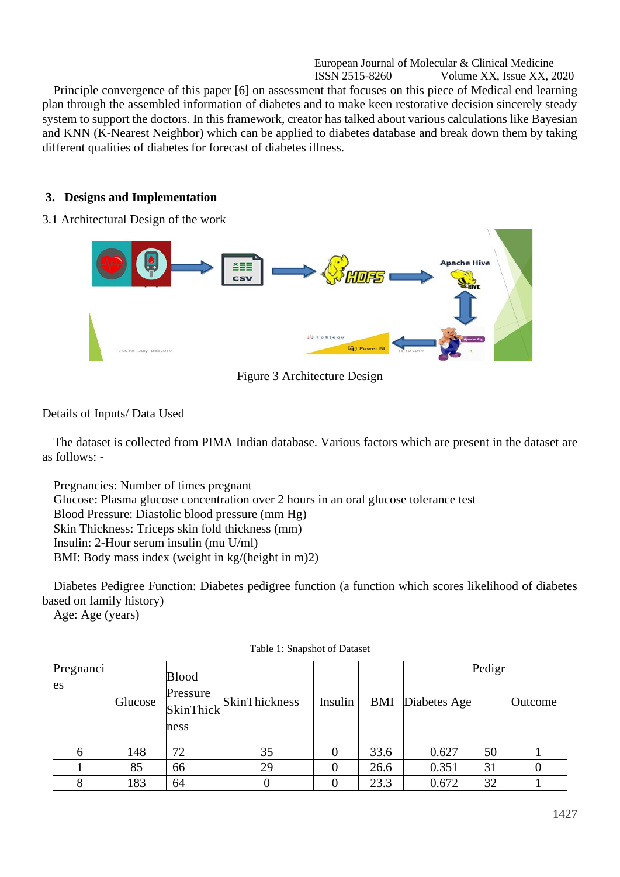European Journal of Molecular & Clinical Medicine ISSN 2515-8260 Volume XX, Issue XX, 2020 Principle convergence of this paper [6] on assessment that focuses on this piece of Medical end learning plan through the assembled information of diabetes and to make keen restorative decision sincerely steady system to support the doctors. In this framework, creator has talked about various calculations like Bayesian and KNN (K-Nearest Neighbor) which can be applied to diabetes database and break down them by taking different qualities of diabetes for forecast of diabetes illness.

# **3. Designs and Implementation**

## 3.1 Architectural Design of the work



Figure 3 Architecture Design

# Details of Inputs/ Data Used

The dataset is collected from PIMA Indian database. Various factors which are present in the dataset are as follows: -

Pregnancies: Number of times pregnant Glucose: Plasma glucose concentration over 2 hours in an oral glucose tolerance test Blood Pressure: Diastolic blood pressure (mm Hg) Skin Thickness: Triceps skin fold thickness (mm) Insulin: 2-Hour serum insulin (mu U/ml) BMI: Body mass index (weight in kg/(height in m)2)

Diabetes Pedigree Function: Diabetes pedigree function (a function which scores likelihood of diabetes based on family history)

Age: Age (years)

| Pregnanci<br>es | Glucose | <b>Blood</b><br>Pressure<br>SkinThick<br>ness | <b>SkinThickness</b> | Insulin | BMI  | Diabetes Age | Pedigr | Outcome |
|-----------------|---------|-----------------------------------------------|----------------------|---------|------|--------------|--------|---------|
| <sub>(</sub>    | 148     | 72                                            | 35                   |         | 33.6 | 0.627        | 50     |         |
|                 | 85      | 66                                            | 29                   |         | 26.6 | 0.351        | 31     |         |
|                 | 183     | 64                                            |                      |         | 23.3 | 0.672        | 32     |         |

Table 1: Snapshot of Dataset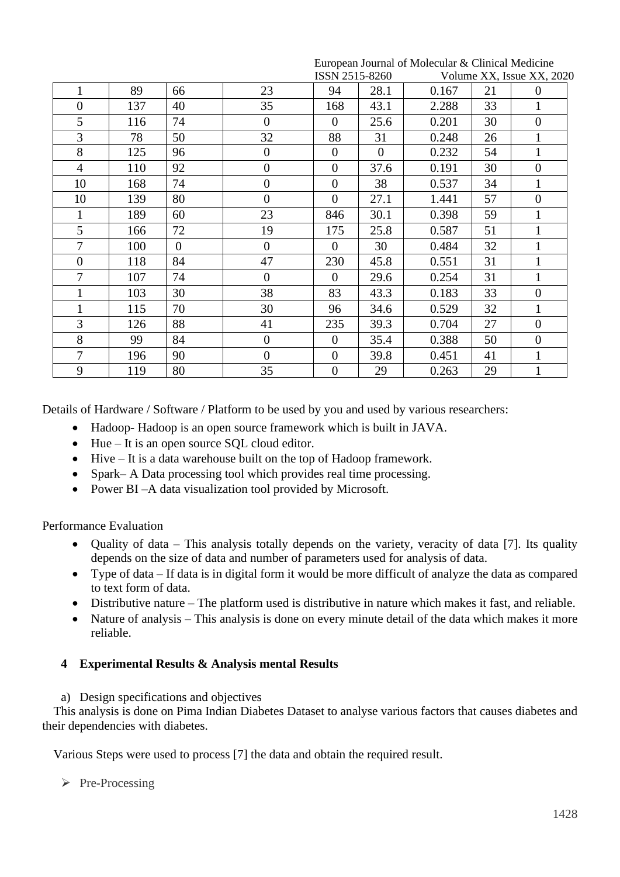|                |     |          |                  | ISSN 2515-8260   |                |       |    | Volume XX, Issue XX, 2020 |
|----------------|-----|----------|------------------|------------------|----------------|-------|----|---------------------------|
| 1              | 89  | 66       | 23               | 94               | 28.1           | 0.167 | 21 | $\theta$                  |
| $\theta$       | 137 | 40       | 35               | 168              | 43.1           | 2.288 | 33 | $\mathbf{1}$              |
| 5              | 116 | 74       | $\overline{0}$   | $\theta$         | 25.6           | 0.201 | 30 | $\boldsymbol{0}$          |
| 3              | 78  | 50       | 32               | 88               | 31             | 0.248 | 26 | $\mathbf{1}$              |
| 8              | 125 | 96       | $\overline{0}$   | $\theta$         | $\overline{0}$ | 0.232 | 54 | $\mathbf{1}$              |
| $\overline{4}$ | 110 | 92       | $\overline{0}$   | $\theta$         | 37.6           | 0.191 | 30 | $\boldsymbol{0}$          |
| 10             | 168 | 74       | $\boldsymbol{0}$ | $\theta$         | 38             | 0.537 | 34 | $\mathbf{1}$              |
| 10             | 139 | 80       | $\overline{0}$   | $\overline{0}$   | 27.1           | 1.441 | 57 | $\boldsymbol{0}$          |
|                | 189 | 60       | 23               | 846              | 30.1           | 0.398 | 59 | $\mathbf{1}$              |
| 5              | 166 | 72       | 19               | 175              | 25.8           | 0.587 | 51 | $\mathbf{1}$              |
| 7              | 100 | $\theta$ | $\Omega$         | $\theta$         | 30             | 0.484 | 32 | $\mathbf{1}$              |
| $\theta$       | 118 | 84       | 47               | 230              | 45.8           | 0.551 | 31 | $\mathbf{1}$              |
| 7              | 107 | 74       | $\overline{0}$   | $\theta$         | 29.6           | 0.254 | 31 | $\mathbf{1}$              |
|                | 103 | 30       | 38               | 83               | 43.3           | 0.183 | 33 | $\boldsymbol{0}$          |
|                | 115 | 70       | 30               | 96               | 34.6           | 0.529 | 32 | $\mathbf{1}$              |
| 3              | 126 | 88       | 41               | 235              | 39.3           | 0.704 | 27 | $\overline{0}$            |
| 8              | 99  | 84       | $\mathbf{0}$     | $\theta$         | 35.4           | 0.388 | 50 | $\boldsymbol{0}$          |
| 7              | 196 | 90       | $\overline{0}$   | $\boldsymbol{0}$ | 39.8           | 0.451 | 41 | $\mathbf{1}$              |
| 9              | 119 | 80       | 35               | $\boldsymbol{0}$ | 29             | 0.263 | 29 | $\mathbf{1}$              |

European Journal of Molecular & Clinical Medicine

Details of Hardware / Software / Platform to be used by you and used by various researchers:

- Hadoop- Hadoop is an open source framework which is built in JAVA.
- Hue It is an open source SQL cloud editor.
- Hive It is a data warehouse built on the top of Hadoop framework.
- Spark– A Data processing tool which provides real time processing.
- Power BI A data visualization tool provided by Microsoft.

Performance Evaluation

- Quality of data This analysis totally depends on the variety, veracity of data [7]. Its quality depends on the size of data and number of parameters used for analysis of data.
- Type of data If data is in digital form it would be more difficult of analyze the data as compared to text form of data.
- Distributive nature The platform used is distributive in nature which makes it fast, and reliable.
- Nature of analysis This analysis is done on every minute detail of the data which makes it more reliable.

# **4 Experimental Results & Analysis mental Results**

a) Design specifications and objectives

This analysis is done on Pima Indian Diabetes Dataset to analyse various factors that causes diabetes and their dependencies with diabetes.

Various Steps were used to process [7] the data and obtain the required result.

➢ Pre-Processing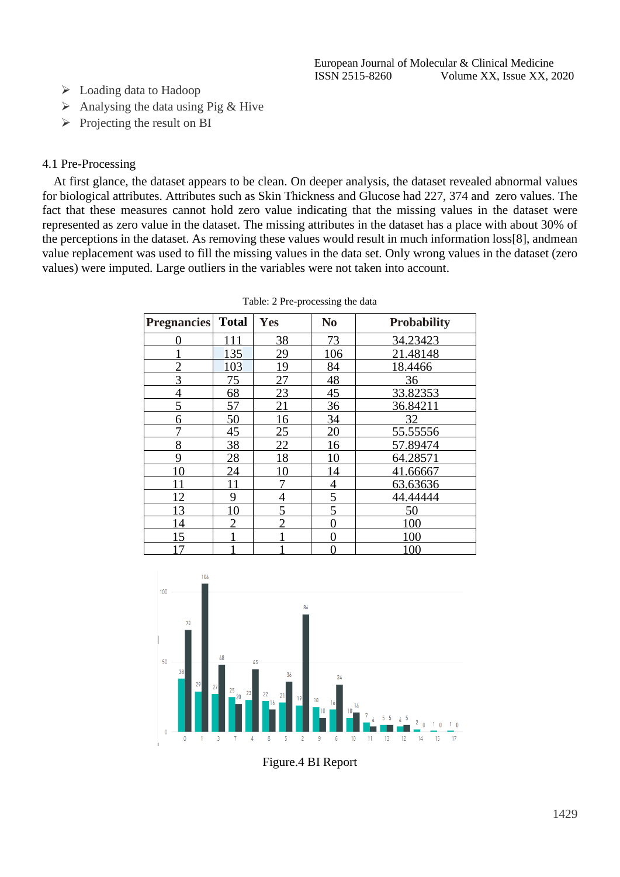- ➢ Loading data to Hadoop
- $\triangleright$  Analysing the data using Pig & Hive
- $\triangleright$  Projecting the result on BI

## 4.1 Pre-Processing

At first glance, the dataset appears to be clean. On deeper analysis, the dataset revealed abnormal values for biological attributes. Attributes such as Skin Thickness and Glucose had 227, 374 and zero values. The fact that these measures cannot hold zero value indicating that the missing values in the dataset were represented as zero value in the dataset. The missing attributes in the dataset has a place with about 30% of the perceptions in the dataset. As removing these values would result in much information loss[8], andmean value replacement was used to fill the missing values in the data set. Only wrong values in the dataset (zero values) were imputed. Large outliers in the variables were not taken into account.

| <b>Pregnancies</b> | <b>Total</b>   | Yes            | N <sub>0</sub>  | <b>Probability</b> |
|--------------------|----------------|----------------|-----------------|--------------------|
| 0                  | 111            | 38             | 73              | 34.23423           |
|                    | 135            | 29             | 106             | 21.48148           |
|                    | 103            | 19             | 84              | 18.4466            |
| 3                  | 75             | 27             | 48              | 36                 |
| $\overline{4}$     | 68             | 23             | 45              | 33.82353           |
| 5                  | 57             | 21             | 36              | 36.84211           |
| 6                  | 50             | 16             | $\overline{34}$ | 32                 |
|                    | 45             | 25             | $\overline{20}$ | 55.55556           |
| 8                  | 38             | 22             | 16              | 57.89474           |
| 9                  | 28             | 18             | 10              | 64.28571           |
| 10                 | 24             | 10             | 14              | 41.66667           |
| 11                 | 11             |                | $\overline{4}$  | 63.63636           |
| 12                 | 9              | 4              | $\overline{5}$  | 44.44444           |
| 13                 | 10             | 5              | 5               | 50                 |
| 14                 | $\overline{2}$ | $\overline{2}$ | 0               | 100                |
| 15                 |                |                | 0               | 100                |
| $\tau$             |                |                |                 | 100                |

|  |  |  |  | Table: 2 Pre-processing the data |  |  |
|--|--|--|--|----------------------------------|--|--|
|--|--|--|--|----------------------------------|--|--|



Figure.4 BI Report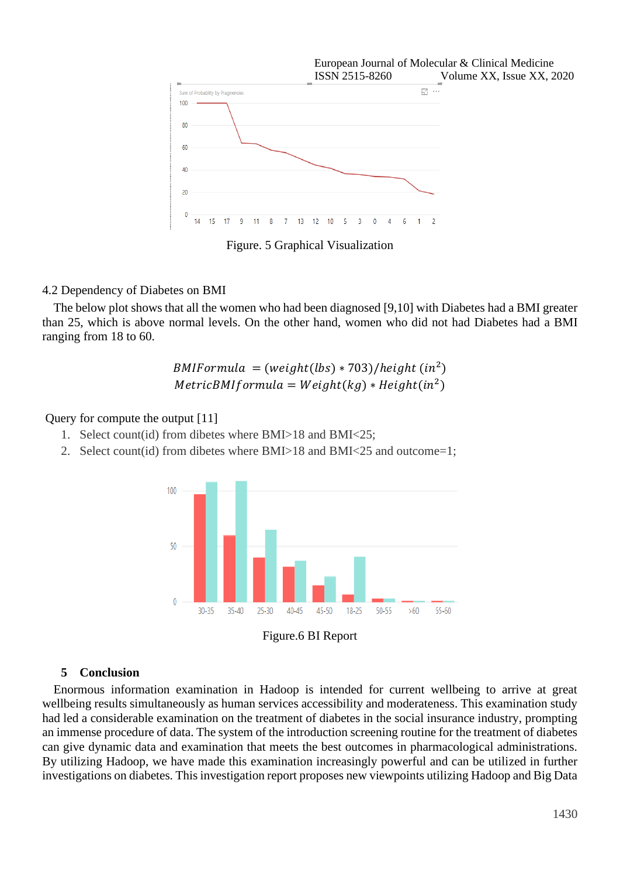

Figure. 5 Graphical Visualization

## 4.2 Dependency of Diabetes on BMI

The below plot shows that all the women who had been diagnosed [9,10] with Diabetes had a BMI greater than 25, which is above normal levels. On the other hand, women who did not had Diabetes had a BMI ranging from 18 to 60.

> $BMIF or mula = (weight(lbs) * 703)/height (in<sup>2</sup>)$  $MetricBMIf or mula = Weight(kg) * Height(in^2)$

# Query for compute the output [11]

- 1. Select count(id) from dibetes where BMI>18 and BMI<25;
- 2. Select count(id) from dibetes where BMI>18 and BMI<25 and outcome=1;





## **5 Conclusion**

Enormous information examination in Hadoop is intended for current wellbeing to arrive at great wellbeing results simultaneously as human services accessibility and moderateness. This examination study had led a considerable examination on the treatment of diabetes in the social insurance industry, prompting an immense procedure of data. The system of the introduction screening routine for the treatment of diabetes can give dynamic data and examination that meets the best outcomes in pharmacological administrations. By utilizing Hadoop, we have made this examination increasingly powerful and can be utilized in further investigations on diabetes. This investigation report proposes new viewpoints utilizing Hadoop and Big Data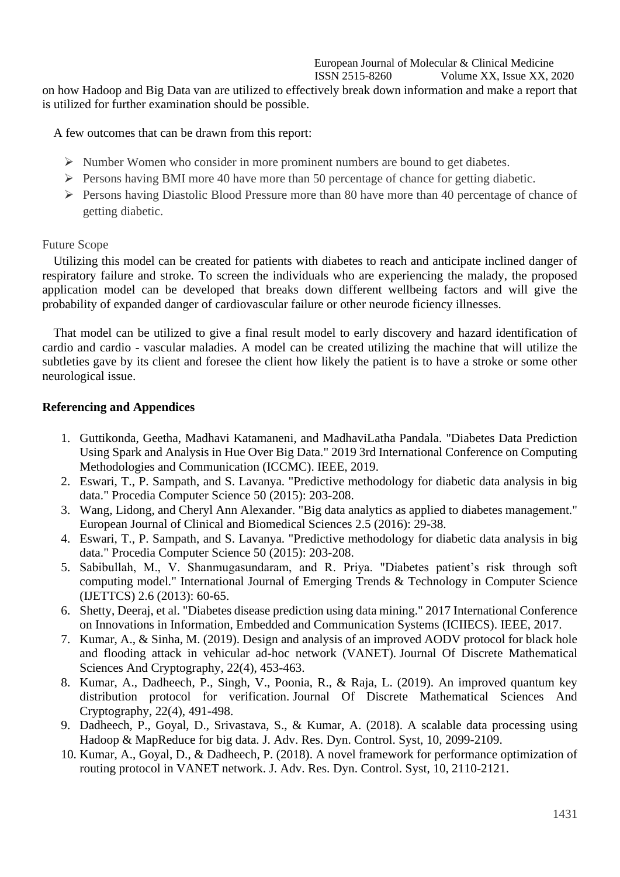# European Journal of Molecular & Clinical Medicine

ISSN 2515-8260 Volume XX, Issue XX, 2020

on how Hadoop and Big Data van are utilized to effectively break down information and make a report that is utilized for further examination should be possible.

A few outcomes that can be drawn from this report:

- ➢ Number Women who consider in more prominent numbers are bound to get diabetes.
- ➢ Persons having BMI more 40 have more than 50 percentage of chance for getting diabetic.
- ➢ Persons having Diastolic Blood Pressure more than 80 have more than 40 percentage of chance of getting diabetic.

## Future Scope

Utilizing this model can be created for patients with diabetes to reach and anticipate inclined danger of respiratory failure and stroke. To screen the individuals who are experiencing the malady, the proposed application model can be developed that breaks down different wellbeing factors and will give the probability of expanded danger of cardiovascular failure or other neurode ficiency illnesses.

That model can be utilized to give a final result model to early discovery and hazard identification of cardio and cardio - vascular maladies. A model can be created utilizing the machine that will utilize the subtleties gave by its client and foresee the client how likely the patient is to have a stroke or some other neurological issue.

## **Referencing and Appendices**

- 1. Guttikonda, Geetha, Madhavi Katamaneni, and MadhaviLatha Pandala. "Diabetes Data Prediction Using Spark and Analysis in Hue Over Big Data." 2019 3rd International Conference on Computing Methodologies and Communication (ICCMC). IEEE, 2019.
- 2. Eswari, T., P. Sampath, and S. Lavanya. "Predictive methodology for diabetic data analysis in big data." Procedia Computer Science 50 (2015): 203-208.
- 3. Wang, Lidong, and Cheryl Ann Alexander. "Big data analytics as applied to diabetes management." European Journal of Clinical and Biomedical Sciences 2.5 (2016): 29-38.
- 4. Eswari, T., P. Sampath, and S. Lavanya. "Predictive methodology for diabetic data analysis in big data." Procedia Computer Science 50 (2015): 203-208.
- 5. Sabibullah, M., V. Shanmugasundaram, and R. Priya. "Diabetes patient's risk through soft computing model." International Journal of Emerging Trends & Technology in Computer Science (IJETTCS) 2.6 (2013): 60-65.
- 6. Shetty, Deeraj, et al. "Diabetes disease prediction using data mining." 2017 International Conference on Innovations in Information, Embedded and Communication Systems (ICIIECS). IEEE, 2017.
- 7. Kumar, A., & Sinha, M. (2019). Design and analysis of an improved AODV protocol for black hole and flooding attack in vehicular ad-hoc network (VANET). Journal Of Discrete Mathematical Sciences And Cryptography, 22(4), 453-463.
- 8. Kumar, A., Dadheech, P., Singh, V., Poonia, R., & Raja, L. (2019). An improved quantum key distribution protocol for verification. Journal Of Discrete Mathematical Sciences And Cryptography, 22(4), 491-498.
- 9. Dadheech, P., Goyal, D., Srivastava, S., & Kumar, A. (2018). A scalable data processing using Hadoop & MapReduce for big data. J. Adv. Res. Dyn. Control. Syst, 10, 2099-2109.
- 10. Kumar, A., Goyal, D., & Dadheech, P. (2018). A novel framework for performance optimization of routing protocol in VANET network. J. Adv. Res. Dyn. Control. Syst, 10, 2110-2121.